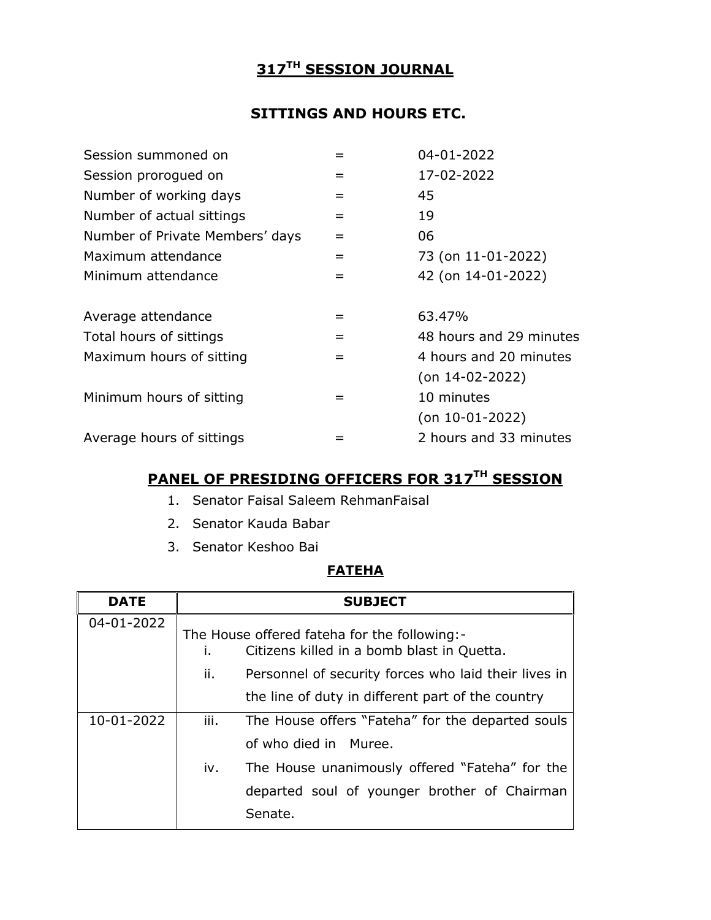# **317TH SESSION JOURNAL**

# **SITTINGS AND HOURS ETC.**

| Session summoned on             |     | 04-01-2022              |
|---------------------------------|-----|-------------------------|
| Session prorogued on            | $=$ | 17-02-2022              |
| Number of working days          | $=$ | 45                      |
| Number of actual sittings       | $=$ | 19                      |
| Number of Private Members' days | $=$ | 06                      |
| Maximum attendance              | $=$ | 73 (on 11-01-2022)      |
| Minimum attendance              | $=$ | 42 (on 14-01-2022)      |
| Average attendance              | $=$ | 63.47%                  |
| Total hours of sittings         | $=$ | 48 hours and 29 minutes |
| Maximum hours of sitting        | $=$ | 4 hours and 20 minutes  |
|                                 |     | $($ on 14-02-2022)      |
| Minimum hours of sitting        | $=$ | 10 minutes              |
|                                 |     | $($ on 10-01-2022)      |
| Average hours of sittings       |     | 2 hours and 33 minutes  |

# **PANEL OF PRESIDING OFFICERS FOR 317 TH SESSION**

- 1. Senator Faisal Saleem RehmanFaisal
- 2. Senator Kauda Babar
- 3. Senator Keshoo Bai

# **FATEHA**

| <b>DATE</b> |      | <b>SUBJECT</b>                                                                             |
|-------------|------|--------------------------------------------------------------------------------------------|
| 04-01-2022  | L.   | The House offered fateha for the following:-<br>Citizens killed in a bomb blast in Quetta. |
|             | ii.  | Personnel of security forces who laid their lives in                                       |
|             |      | the line of duty in different part of the country                                          |
| 10-01-2022  | iii. | The House offers "Fateha" for the departed souls                                           |
|             |      | of who died in Muree.                                                                      |
|             | iv.  | The House unanimously offered "Fateha" for the                                             |
|             |      | departed soul of younger brother of Chairman                                               |
|             |      | Senate.                                                                                    |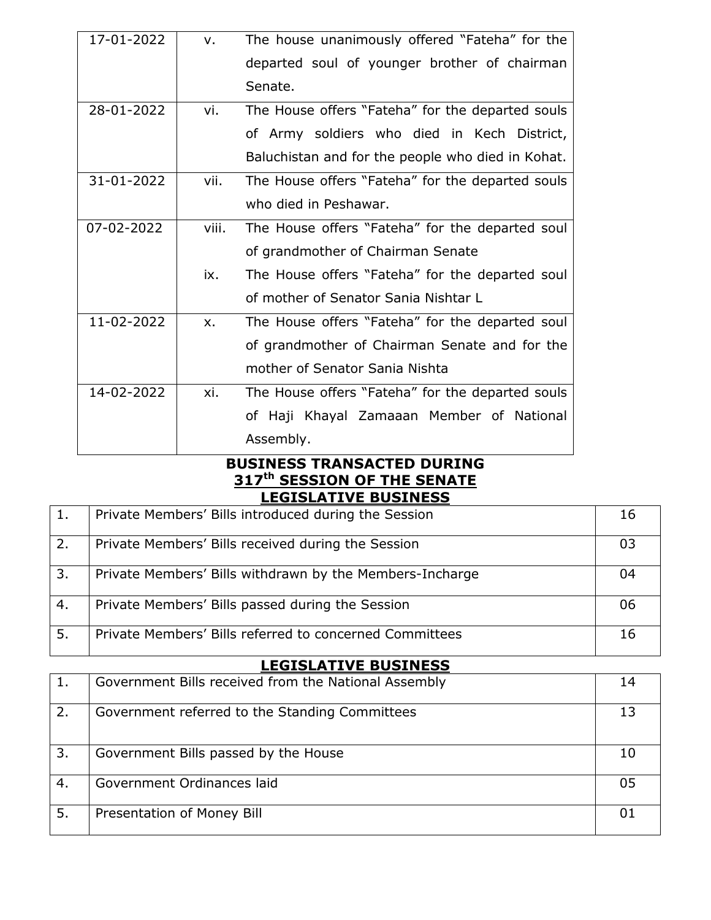| 17-01-2022 | v.            | The house unanimously offered "Fateha" for the    |
|------------|---------------|---------------------------------------------------|
|            |               | departed soul of younger brother of chairman      |
|            |               | Senate.                                           |
| 28-01-2022 | vi.           | The House offers "Fateha" for the departed souls  |
|            |               | of Army soldiers who died in Kech District,       |
|            |               | Baluchistan and for the people who died in Kohat. |
| 31-01-2022 | vii.          | The House offers "Fateha" for the departed souls  |
|            |               | who died in Peshawar.                             |
| 07-02-2022 | viii.         | The House offers "Fateha" for the departed soul   |
|            |               | of grandmother of Chairman Senate                 |
|            | ix.           | The House offers "Fateha" for the departed soul   |
|            |               | of mother of Senator Sania Nishtar L              |
| 11-02-2022 | $X_{\bullet}$ | The House offers "Fateha" for the departed soul   |
|            |               | of grandmother of Chairman Senate and for the     |
|            |               | mother of Senator Sania Nishta                    |
| 14-02-2022 | xi.           | The House offers "Fateha" for the departed souls  |
|            |               | of Haji Khayal Zamaaan Member of National         |
|            |               | Assembly.                                         |

#### **BUSINESS TRANSACTED DURING 317th SESSION OF THE SENATE LEGISLATIVE BUSINESS**

| 1. | Private Members' Bills introduced during the Session     | 16  |
|----|----------------------------------------------------------|-----|
| 2. | Private Members' Bills received during the Session       | 03  |
| 3. | Private Members' Bills withdrawn by the Members-Incharge | 04  |
| 4. | Private Members' Bills passed during the Session         | -06 |
| 5. | Private Members' Bills referred to concerned Committees  | 16  |

### **LEGISLATIVE BUSINESS**

|    | Government Bills received from the National Assembly | 14           |
|----|------------------------------------------------------|--------------|
| 2. | Government referred to the Standing Committees       |              |
| 3. | Government Bills passed by the House                 | 10           |
| 4. | Government Ordinances laid                           | 05           |
| 5. | Presentation of Money Bill                           | $\mathbf{U}$ |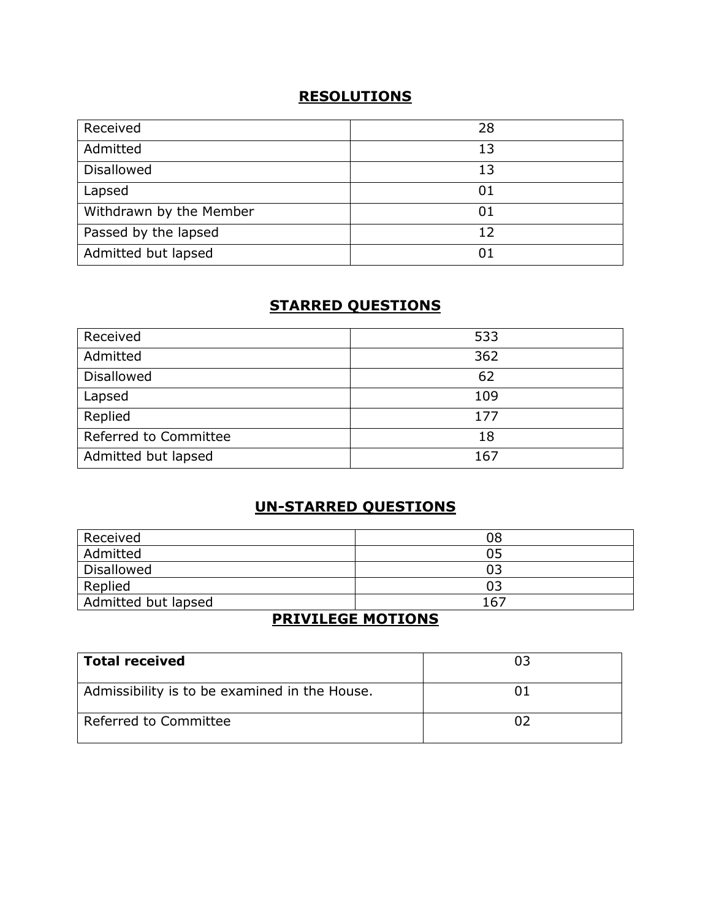### **RESOLUTIONS**

| Received                | 28 |
|-------------------------|----|
| Admitted                | 13 |
| <b>Disallowed</b>       | 13 |
| Lapsed                  | 01 |
| Withdrawn by the Member | 01 |
| Passed by the lapsed    | 12 |
| Admitted but lapsed     | 01 |

# **STARRED QUESTIONS**

| Received              | 533 |
|-----------------------|-----|
| Admitted              | 362 |
| <b>Disallowed</b>     | 62  |
| Lapsed                | 109 |
| Replied               | 177 |
| Referred to Committee | 18  |
| Admitted but lapsed   | 167 |

# **UN-STARRED QUESTIONS**

| Received            | 08  |
|---------------------|-----|
| Admitted            | 05  |
| Disallowed          | 03  |
| Replied             | 03  |
| Admitted but lapsed | 167 |

# **PRIVILEGE MOTIONS**

| <b>Total received</b>                         | กว |
|-----------------------------------------------|----|
| Admissibility is to be examined in the House. |    |
| Referred to Committee                         |    |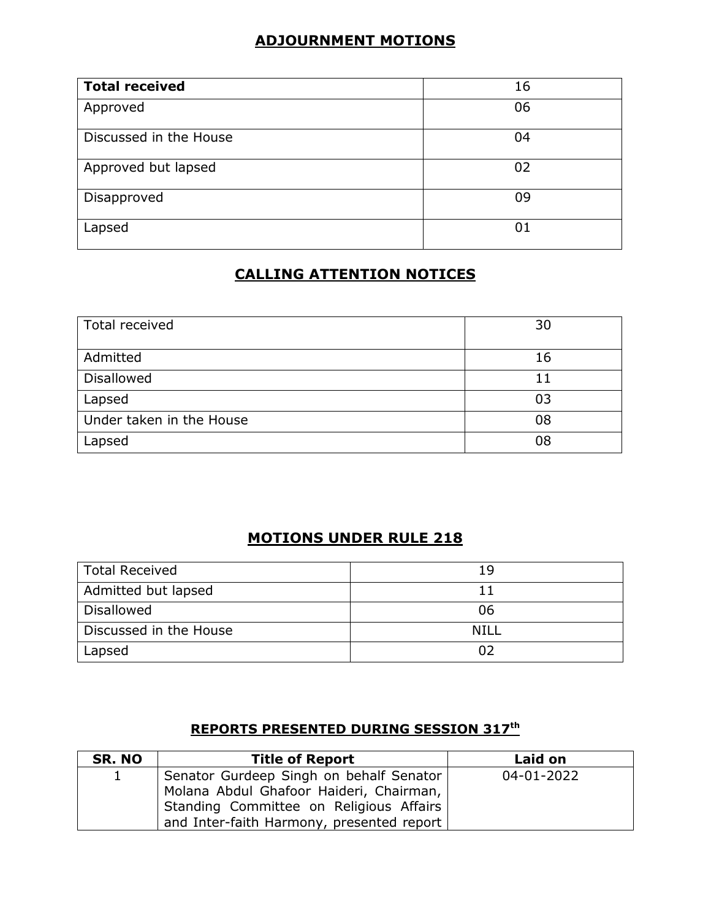# **ADJOURNMENT MOTIONS**

| <b>Total received</b>  | 16 |
|------------------------|----|
| Approved               | 06 |
| Discussed in the House | 04 |
| Approved but lapsed    | 02 |
| Disapproved            | 09 |
| Lapsed                 | 01 |

# **CALLING ATTENTION NOTICES**

| Total received           | 30 |
|--------------------------|----|
| Admitted                 | 16 |
| <b>Disallowed</b>        | 11 |
| Lapsed                   | 03 |
| Under taken in the House | 08 |
|                          | 08 |
| Lapsed                   |    |

# **MOTIONS UNDER RULE 218**

| Total Received         | 19   |
|------------------------|------|
| Admitted but lapsed    |      |
| <b>Disallowed</b>      | 06   |
| Discussed in the House | NILL |
| Lapsed                 |      |

### **REPORTS PRESENTED DURING SESSION 317th**

| SR. NO | <b>Title of Report</b>                                                                                                                                                     | <b>Laid on</b> |
|--------|----------------------------------------------------------------------------------------------------------------------------------------------------------------------------|----------------|
|        | Senator Gurdeep Singh on behalf Senator<br>Molana Abdul Ghafoor Haideri, Chairman,<br>Standing Committee on Religious Affairs<br>and Inter-faith Harmony, presented report | 04-01-2022     |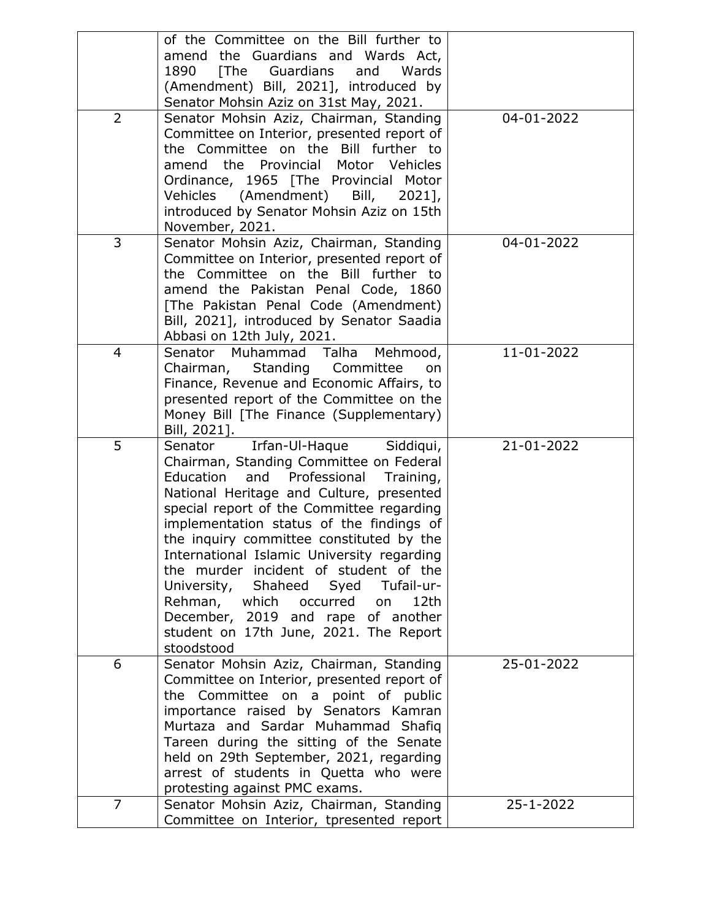|                | of the Committee on the Bill further to       |            |
|----------------|-----------------------------------------------|------------|
|                | amend the Guardians and Wards Act,            |            |
|                | [The]<br>1890<br>Guardians<br>and<br>Wards    |            |
|                | (Amendment) Bill, 2021], introduced by        |            |
|                | Senator Mohsin Aziz on 31st May, 2021.        |            |
| $\overline{2}$ | Senator Mohsin Aziz, Chairman, Standing       | 04-01-2022 |
|                | Committee on Interior, presented report of    |            |
|                | the Committee on the Bill further to          |            |
|                | Provincial<br>Motor Vehicles<br>amend the     |            |
|                | Ordinance, 1965 [The Provincial Motor         |            |
|                | Vehicles (Amendment) Bill,<br>$2021$ ,        |            |
|                |                                               |            |
|                | introduced by Senator Mohsin Aziz on 15th     |            |
|                | November, 2021.                               |            |
| 3              | Senator Mohsin Aziz, Chairman, Standing       | 04-01-2022 |
|                | Committee on Interior, presented report of    |            |
|                | the Committee on the Bill further to          |            |
|                | amend the Pakistan Penal Code, 1860           |            |
|                | [The Pakistan Penal Code (Amendment)          |            |
|                | Bill, 2021], introduced by Senator Saadia     |            |
|                | Abbasi on 12th July, 2021.                    |            |
| $\overline{4}$ | Muhammad<br>Talha<br>Senator<br>Mehmood,      | 11-01-2022 |
|                | Standing<br>Committee<br>Chairman,<br>on      |            |
|                | Finance, Revenue and Economic Affairs, to     |            |
|                | presented report of the Committee on the      |            |
|                | Money Bill [The Finance (Supplementary)       |            |
|                | Bill, 2021].                                  |            |
| 5              | Irfan-Ul-Haque<br>Siddiqui,<br>Senator        | 21-01-2022 |
|                | Chairman, Standing Committee on Federal       |            |
|                | Education<br>and<br>Professional<br>Training, |            |
|                | National Heritage and Culture, presented      |            |
|                | special report of the Committee regarding     |            |
|                | implementation status of the findings of      |            |
|                | the inquiry committee constituted by the      |            |
|                | International Islamic University regarding    |            |
|                | the murder incident of student of the         |            |
|                | Shaheed<br>-Tufail-ur<br>University,          |            |
|                | Syed                                          |            |
|                | Rehman,<br>which occurred<br>12th<br>on       |            |
|                | December, 2019 and rape of another            |            |
|                | student on 17th June, 2021. The Report        |            |
| 6              | stoodstood                                    | 25-01-2022 |
|                | Senator Mohsin Aziz, Chairman, Standing       |            |
|                | Committee on Interior, presented report of    |            |
|                | the Committee on a point of public            |            |
|                | importance raised by Senators Kamran          |            |
|                | Murtaza and Sardar Muhammad Shafiq            |            |
|                | Tareen during the sitting of the Senate       |            |
|                | held on 29th September, 2021, regarding       |            |
|                | arrest of students in Quetta who were         |            |
|                |                                               |            |
|                | protesting against PMC exams.                 |            |
| $\overline{7}$ | Senator Mohsin Aziz, Chairman, Standing       | 25-1-2022  |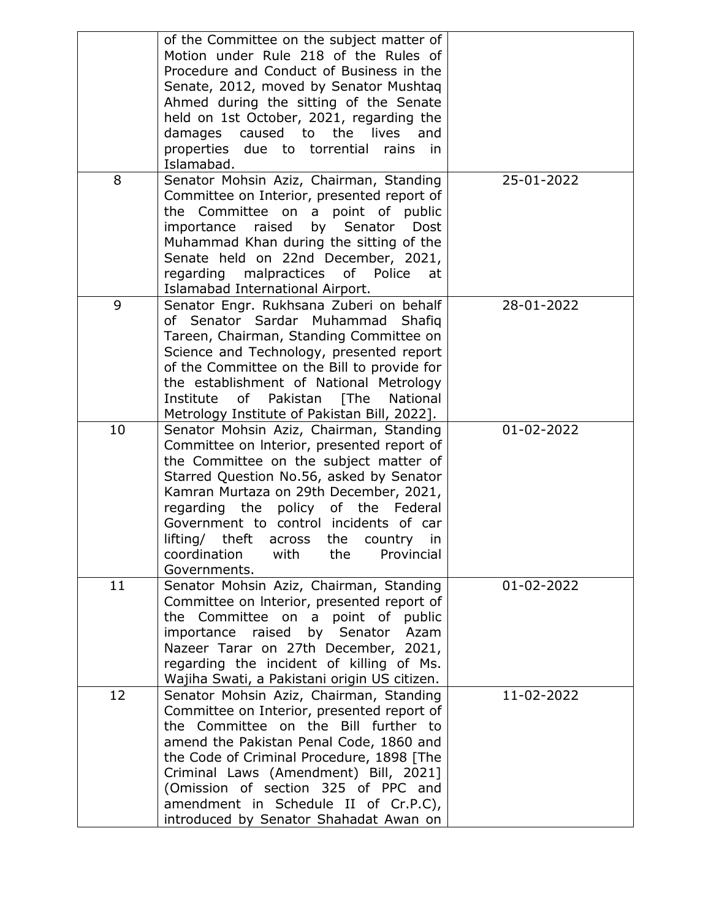|    | of the Committee on the subject matter of<br>Motion under Rule 218 of the Rules of<br>Procedure and Conduct of Business in the<br>Senate, 2012, moved by Senator Mushtaq<br>Ahmed during the sitting of the Senate<br>held on 1st October, 2021, regarding the<br>the lives<br>damages<br>caused to<br>and<br>properties due to torrential<br>rains<br>in.<br>Islamabad.                                                   |            |
|----|----------------------------------------------------------------------------------------------------------------------------------------------------------------------------------------------------------------------------------------------------------------------------------------------------------------------------------------------------------------------------------------------------------------------------|------------|
| 8  | Senator Mohsin Aziz, Chairman, Standing<br>Committee on Interior, presented report of<br>Committee on a<br>point of public<br>the<br>raised<br>by<br>importance<br>Senator<br>Dost<br>Muhammad Khan during the sitting of the<br>Senate held on 22nd December, 2021,<br>of<br>regarding<br>malpractices<br>Police<br>at<br>Islamabad International Airport.                                                                | 25-01-2022 |
| 9  | Senator Engr. Rukhsana Zuberi on behalf<br>of Senator Sardar Muhammad<br>Shafig<br>Tareen, Chairman, Standing Committee on<br>Science and Technology, presented report<br>of the Committee on the Bill to provide for<br>the establishment of National Metrology<br>Institute of Pakistan [The<br>National<br>Metrology Institute of Pakistan Bill, 2022].                                                                 | 28-01-2022 |
| 10 | Senator Mohsin Aziz, Chairman, Standing<br>Committee on Interior, presented report of<br>the Committee on the subject matter of<br>Starred Question No.56, asked by Senator<br>Kamran Murtaza on 29th December, 2021,<br>regarding the policy of the<br>Federal<br>Government to control incidents of car<br>lifting/<br>theft across<br>the<br>country<br>in<br>coordination<br>with<br>Provincial<br>the<br>Governments. | 01-02-2022 |
| 11 | Senator Mohsin Aziz, Chairman, Standing<br>Committee on Interior, presented report of<br>the Committee on a point of public<br>importance raised by Senator<br>Azam<br>Nazeer Tarar on 27th December, 2021,<br>regarding the incident of killing of Ms.<br>Wajiha Swati, a Pakistani origin US citizen.                                                                                                                    | 01-02-2022 |
| 12 | Senator Mohsin Aziz, Chairman, Standing<br>Committee on Interior, presented report of<br>the Committee on the Bill further to<br>amend the Pakistan Penal Code, 1860 and<br>the Code of Criminal Procedure, 1898 [The<br>Criminal Laws (Amendment) Bill, 2021]<br>(Omission of section 325 of PPC and<br>amendment in Schedule II of Cr.P.C),<br>introduced by Senator Shahadat Awan on                                    | 11-02-2022 |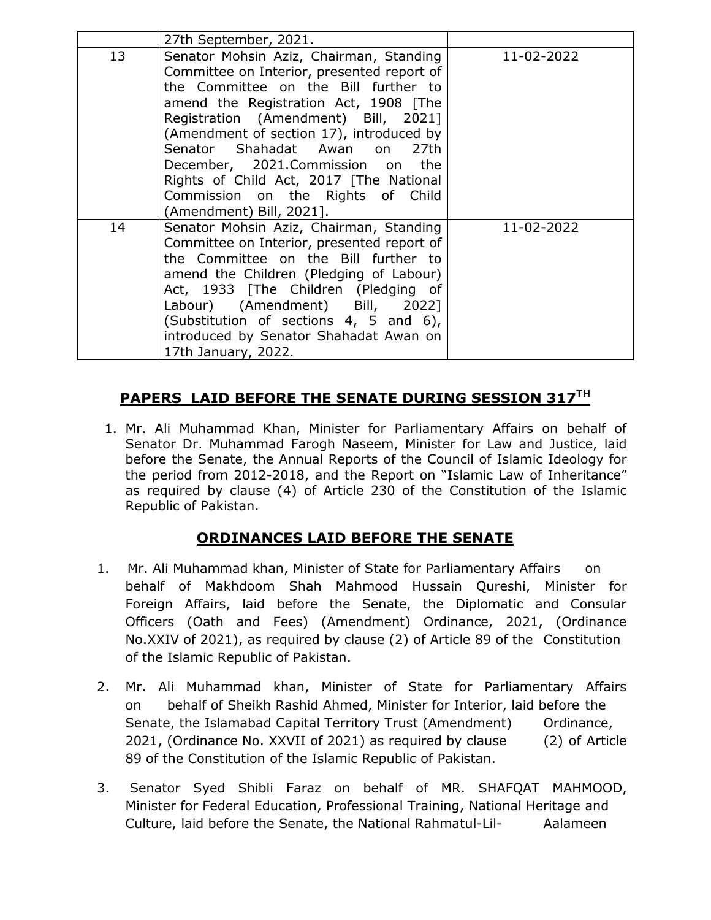|    | 27th September, 2021.                                                                                                                                                                                                                                                                                                                                                                                                                                         |            |
|----|---------------------------------------------------------------------------------------------------------------------------------------------------------------------------------------------------------------------------------------------------------------------------------------------------------------------------------------------------------------------------------------------------------------------------------------------------------------|------------|
| 13 | Senator Mohsin Aziz, Chairman, Standing<br>Committee on Interior, presented report of<br>the Committee on the Bill further to<br>amend the Registration Act, 1908 [The<br>Registration (Amendment) Bill, 2021]<br>(Amendment of section 17), introduced by<br>Senator Shahadat Awan<br>27 <sub>th</sub><br>on<br>December, 2021.Commission on the<br>Rights of Child Act, 2017 [The National<br>Commission on the Rights of Child<br>(Amendment) Bill, 2021]. | 11-02-2022 |
| 14 | Senator Mohsin Aziz, Chairman, Standing<br>Committee on Interior, presented report of<br>the Committee on the Bill further to<br>amend the Children (Pledging of Labour)<br>Act, 1933 [The Children (Pledging of<br>Labour) (Amendment) Bill, 2022]<br>(Substitution of sections 4, 5 and 6),<br>introduced by Senator Shahadat Awan on<br>17th January, 2022.                                                                                                | 11-02-2022 |

### **PAPERS LAID BEFORE THE SENATE DURING SESSION 317TH**

1. Mr. Ali Muhammad Khan, Minister for Parliamentary Affairs on behalf of Senator Dr. Muhammad Farogh Naseem, Minister for Law and Justice, laid before the Senate, the Annual Reports of the Council of Islamic Ideology for the period from 2012-2018, and the Report on "Islamic Law of Inheritance" as required by clause (4) of Article 230 of the Constitution of the Islamic Republic of Pakistan.

# **ORDINANCES LAID BEFORE THE SENATE**

- 1. Mr. Ali Muhammad khan, Minister of State for Parliamentary Affairs on behalf of Makhdoom Shah Mahmood Hussain Qureshi, Minister for Foreign Affairs, laid before the Senate, the Diplomatic and Consular Officers (Oath and Fees) (Amendment) Ordinance, 2021, (Ordinance No.XXIV of 2021), as required by clause (2) of Article 89 of the Constitution of the Islamic Republic of Pakistan.
- 2. Mr. Ali Muhammad khan, Minister of State for Parliamentary Affairs on behalf of Sheikh Rashid Ahmed, Minister for Interior, laid before the Senate, the Islamabad Capital Territory Trust (Amendment) Ordinance, 2021, (Ordinance No. XXVII of 2021) as required by clause (2) of Article 89 of the Constitution of the Islamic Republic of Pakistan.
- 3. Senator Syed Shibli Faraz on behalf of MR. SHAFQAT MAHMOOD, Minister for Federal Education, Professional Training, National Heritage and Culture, laid before the Senate, the National Rahmatul-Lil- Aalameen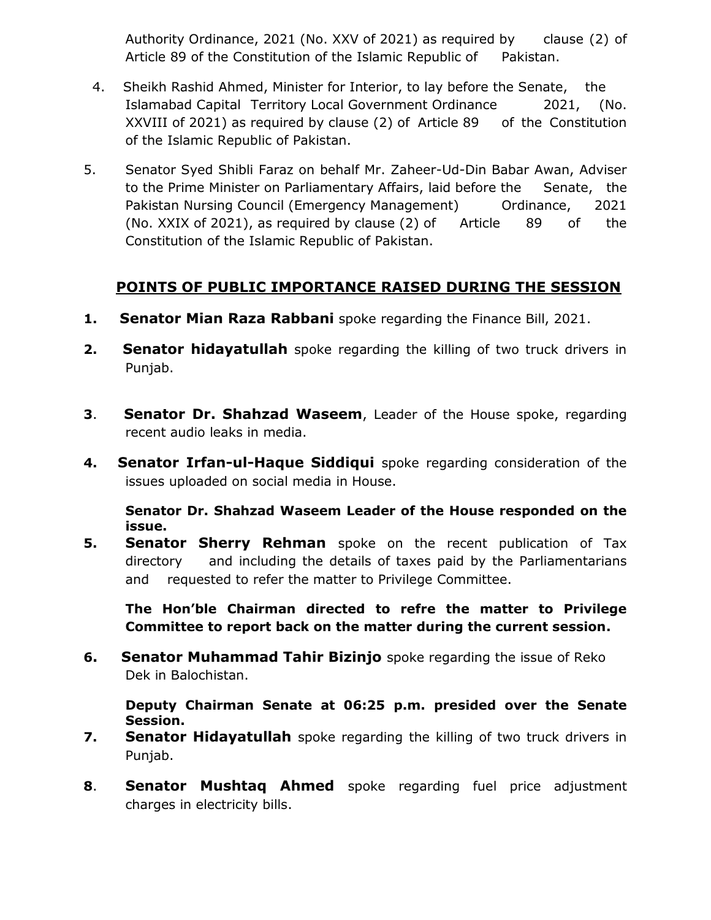Authority Ordinance, 2021 (No. XXV of 2021) as required by clause (2) of Article 89 of the Constitution of the Islamic Republic of Pakistan.

- 4. Sheikh Rashid Ahmed, Minister for Interior, to lay before the Senate, the Islamabad Capital Territory Local Government Ordinance 2021, (No. XXVIII of 2021) as required by clause (2) of Article 89 of the Constitution of the Islamic Republic of Pakistan.
- 5. Senator Syed Shibli Faraz on behalf Mr. Zaheer-Ud-Din Babar Awan, Adviser to the Prime Minister on Parliamentary Affairs, laid before the Senate, the Pakistan Nursing Council (Emergency Management) Ordinance, 2021 (No. XXIX of 2021), as required by clause (2) of Article 89 of the Constitution of the Islamic Republic of Pakistan.

# **POINTS OF PUBLIC IMPORTANCE RAISED DURING THE SESSION**

- **1. Senator Mian Raza Rabbani** spoke regarding the Finance Bill, 2021.
- **2. Senator hidayatullah** spoke regarding the killing of two truck drivers in Punjab.
- **3**. **Senator Dr. Shahzad Waseem**, Leader of the House spoke, regarding recent audio leaks in media.
- **4. Senator Irfan-ul-Haque Siddiqui** spoke regarding consideration of the issues uploaded on social media in House.

**Senator Dr. Shahzad Waseem Leader of the House responded on the issue.**

**5. Senator Sherry Rehman** spoke on the recent publication of Tax directory and including the details of taxes paid by the Parliamentarians and requested to refer the matter to Privilege Committee.

**The Hon'ble Chairman directed to refre the matter to Privilege Committee to report back on the matter during the current session.**

**6. Senator Muhammad Tahir Bizinjo** spoke regarding the issue of Reko Dek in Balochistan.

**Deputy Chairman Senate at 06:25 p.m. presided over the Senate Session.**

- **7. Senator Hidayatullah** spoke regarding the killing of two truck drivers in Punjab.
- **8**. **Senator Mushtaq Ahmed** spoke regarding fuel price adjustment charges in electricity bills.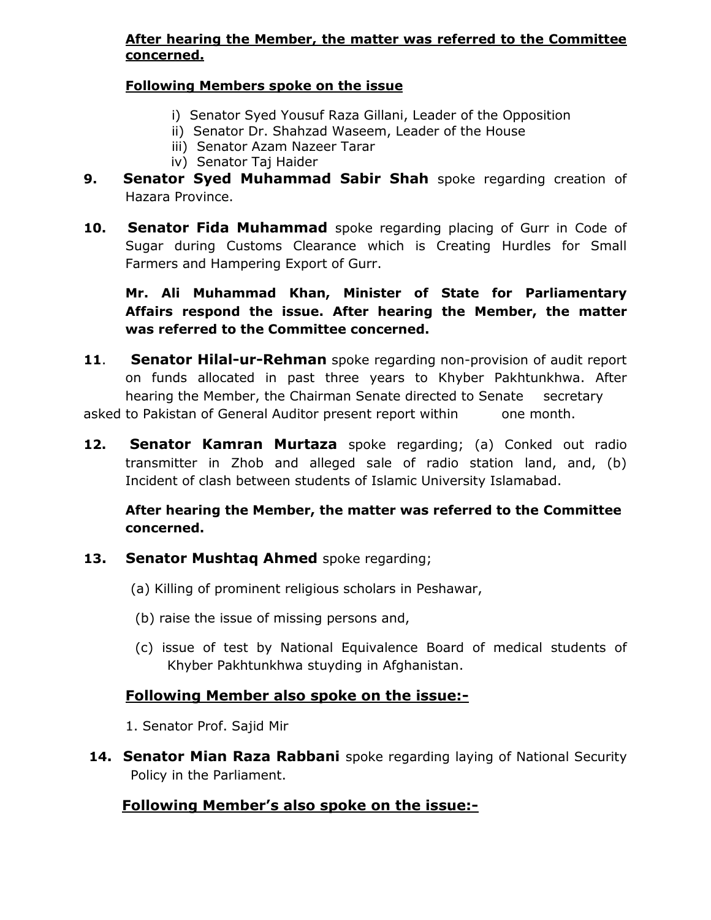#### **After hearing the Member, the matter was referred to the Committee concerned.**

#### **Following Members spoke on the issue**

- i) Senator Syed Yousuf Raza Gillani, Leader of the Opposition
- ii) Senator Dr. Shahzad Waseem, Leader of the House
- iii) Senator Azam Nazeer Tarar
- iv) Senator Taj Haider
- **9. Senator Syed Muhammad Sabir Shah** spoke regarding creation of Hazara Province.
- **10. Senator Fida Muhammad** spoke regarding placing of Gurr in Code of Sugar during Customs Clearance which is Creating Hurdles for Small Farmers and Hampering Export of Gurr.

### **Mr. Ali Muhammad Khan, Minister of State for Parliamentary Affairs respond the issue. After hearing the Member, the matter was referred to the Committee concerned.**

- **11**. **Senator Hilal-ur-Rehman** spoke regarding non-provision of audit report on funds allocated in past three years to Khyber Pakhtunkhwa. After hearing the Member, the Chairman Senate directed to Senate secretary asked to Pakistan of General Auditor present report within one month.
- **12. Senator Kamran Murtaza** spoke regarding; (a) Conked out radio transmitter in Zhob and alleged sale of radio station land, and, (b) Incident of clash between students of Islamic University Islamabad.

### **After hearing the Member, the matter was referred to the Committee concerned.**

- **13. Senator Mushtaq Ahmed** spoke regarding;
	- (a) Killing of prominent religious scholars in Peshawar,
	- (b) raise the issue of missing persons and,
	- (c) issue of test by National Equivalence Board of medical students of Khyber Pakhtunkhwa stuyding in Afghanistan.

# **Following Member also spoke on the issue:-**

- 1. Senator Prof. Sajid Mir
- **14. Senator Mian Raza Rabbani** spoke regarding laying of National Security Policy in the Parliament.

# **Following Member's also spoke on the issue:-**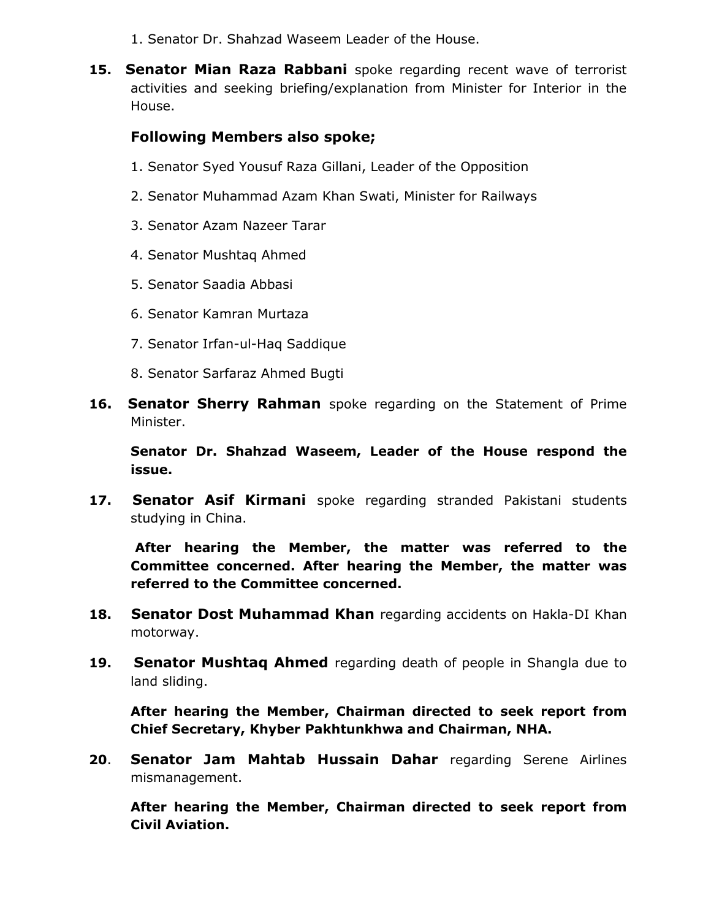- 1. Senator Dr. Shahzad Waseem Leader of the House.
- **15. Senator Mian Raza Rabbani** spoke regarding recent wave of terrorist activities and seeking briefing/explanation from Minister for Interior in the House.

### **Following Members also spoke;**

- 1. Senator Syed Yousuf Raza Gillani, Leader of the Opposition
- 2. Senator Muhammad Azam Khan Swati, Minister for Railways
- 3. Senator Azam Nazeer Tarar
- 4. Senator Mushtaq Ahmed
- 5. Senator Saadia Abbasi
- 6. Senator Kamran Murtaza
- 7. Senator Irfan-ul-Haq Saddique
- 8. Senator Sarfaraz Ahmed Bugti
- **16. Senator Sherry Rahman** spoke regarding on the Statement of Prime Minister.

**Senator Dr. Shahzad Waseem, Leader of the House respond the issue.**

**17. Senator Asif Kirmani** spoke regarding stranded Pakistani students studying in China.

**After hearing the Member, the matter was referred to the Committee concerned. After hearing the Member, the matter was referred to the Committee concerned.**

- **18. Senator Dost Muhammad Khan** regarding accidents on Hakla-DI Khan motorway.
- **19. Senator Mushtaq Ahmed** regarding death of people in Shangla due to land sliding.

**After hearing the Member, Chairman directed to seek report from Chief Secretary, Khyber Pakhtunkhwa and Chairman, NHA.**

**20**. **Senator Jam Mahtab Hussain Dahar** regarding Serene Airlines mismanagement.

**After hearing the Member, Chairman directed to seek report from Civil Aviation.**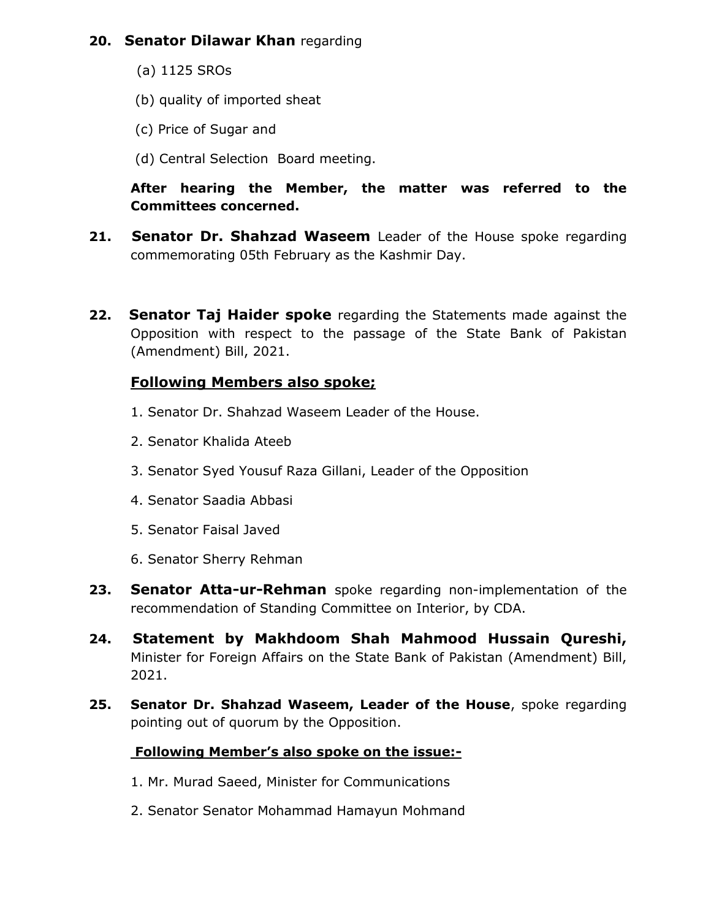### **20. Senator Dilawar Khan** regarding

- (a) 1125 SROs
- (b) quality of imported sheat
- (c) Price of Sugar and
- (d) Central Selection Board meeting.

### **After hearing the Member, the matter was referred to the Committees concerned.**

- **21. Senator Dr. Shahzad Waseem** Leader of the House spoke regarding commemorating 05th February as the Kashmir Day.
- **22. Senator Taj Haider spoke** regarding the Statements made against the Opposition with respect to the passage of the State Bank of Pakistan (Amendment) Bill, 2021.

### **Following Members also spoke;**

- 1. Senator Dr. Shahzad Waseem Leader of the House.
- 2. Senator Khalida Ateeb
- 3. Senator Syed Yousuf Raza Gillani, Leader of the Opposition
- 4. Senator Saadia Abbasi
- 5. Senator Faisal Javed
- 6. Senator Sherry Rehman
- **23. Senator Atta-ur-Rehman** spoke regarding non-implementation of the recommendation of Standing Committee on Interior, by CDA.
- **24. Statement by Makhdoom Shah Mahmood Hussain Qureshi,** Minister for Foreign Affairs on the State Bank of Pakistan (Amendment) Bill, 2021.
- **25. Senator Dr. Shahzad Waseem, Leader of the House**, spoke regarding pointing out of quorum by the Opposition.

### **Following Member's also spoke on the issue:-**

- 1. Mr. Murad Saeed, Minister for Communications
- 2. Senator Senator Mohammad Hamayun Mohmand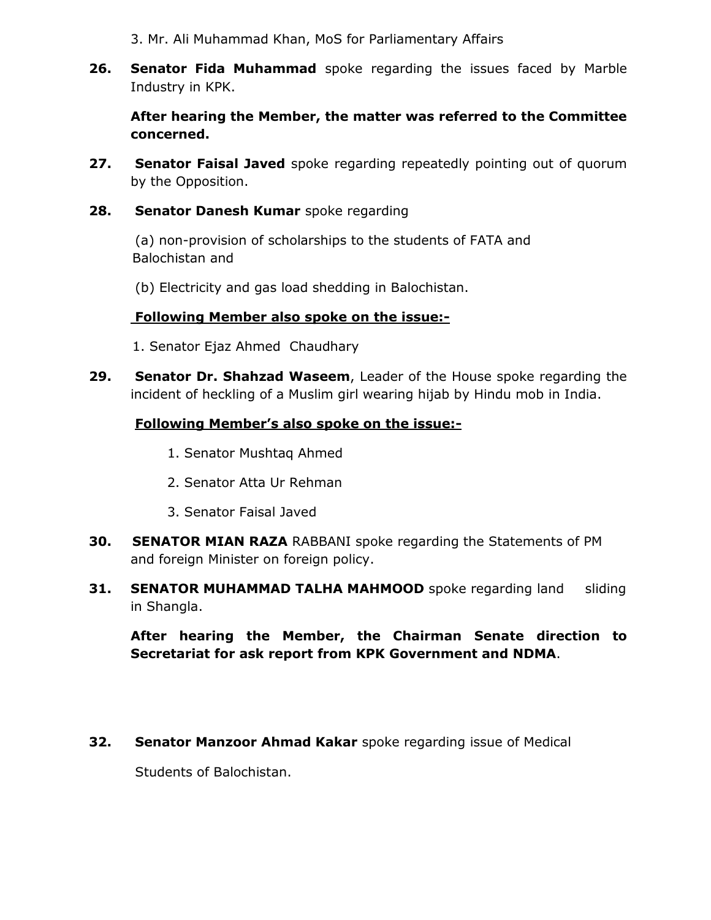3. Mr. Ali Muhammad Khan, MoS for Parliamentary Affairs

**26. Senator Fida Muhammad** spoke regarding the issues faced by Marble Industry in KPK.

**After hearing the Member, the matter was referred to the Committee concerned.**

**27. Senator Faisal Javed** spoke regarding repeatedly pointing out of quorum by the Opposition.

#### 28. Senator Danesh Kumar spoke regarding

(a) non-provision of scholarships to the students of FATA and Balochistan and

(b) Electricity and gas load shedding in Balochistan.

#### **Following Member also spoke on the issue:-**

1. Senator Ejaz Ahmed Chaudhary

**29. Senator Dr. Shahzad Waseem**, Leader of the House spoke regarding the incident of heckling of a Muslim girl wearing hijab by Hindu mob in India.

#### **Following Member's also spoke on the issue:-**

- 1. Senator Mushtaq Ahmed
- 2. Senator Atta Ur Rehman
- 3. Senator Faisal Javed
- **30. SENATOR MIAN RAZA** RABBANI spoke regarding the Statements of PM and foreign Minister on foreign policy.
- **31. SENATOR MUHAMMAD TALHA MAHMOOD** spoke regarding land sliding in Shangla.

**After hearing the Member, the Chairman Senate direction to Secretariat for ask report from KPK Government and NDMA**.

#### **32. Senator Manzoor Ahmad Kakar** spoke regarding issue of Medical

Students of Balochistan.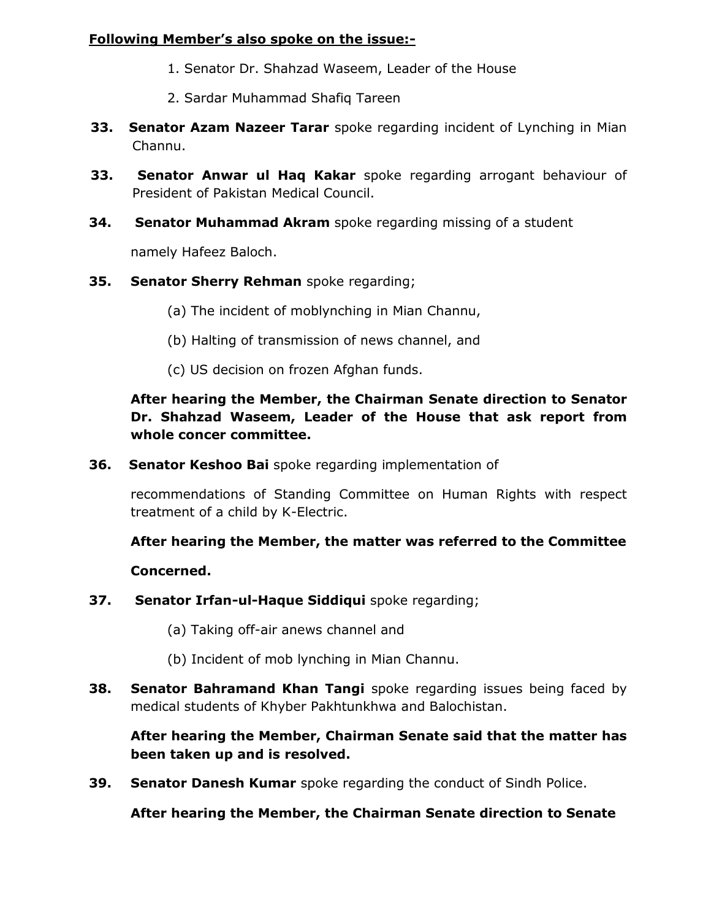#### **Following Member's also spoke on the issue:-**

- 1. Senator Dr. Shahzad Waseem, Leader of the House
- 2. Sardar Muhammad Shafiq Tareen
- **33. Senator Azam Nazeer Tarar** spoke regarding incident of Lynching in Mian Channu.
- **33. Senator Anwar ul Haq Kakar** spoke regarding arrogant behaviour of President of Pakistan Medical Council.
- **34. Senator Muhammad Akram** spoke regarding missing of a student

namely Hafeez Baloch.

- **35. Senator Sherry Rehman** spoke regarding;
	- (a) The incident of moblynching in Mian Channu,
	- (b) Halting of transmission of news channel, and
	- (c) US decision on frozen Afghan funds.

### **After hearing the Member, the Chairman Senate direction to Senator Dr. Shahzad Waseem, Leader of the House that ask report from whole concer committee.**

**36. Senator Keshoo Bai** spoke regarding implementation of

recommendations of Standing Committee on Human Rights with respect treatment of a child by K-Electric.

**After hearing the Member, the matter was referred to the Committee**

#### **Concerned.**

- **37. Senator Irfan-ul-Haque Siddiqui** spoke regarding;
	- (a) Taking off-air anews channel and
	- (b) Incident of mob lynching in Mian Channu.
- **38. Senator Bahramand Khan Tangi** spoke regarding issues being faced by medical students of Khyber Pakhtunkhwa and Balochistan.

### **After hearing the Member, Chairman Senate said that the matter has been taken up and is resolved.**

**39. Senator Danesh Kumar** spoke regarding the conduct of Sindh Police.

**After hearing the Member, the Chairman Senate direction to Senate**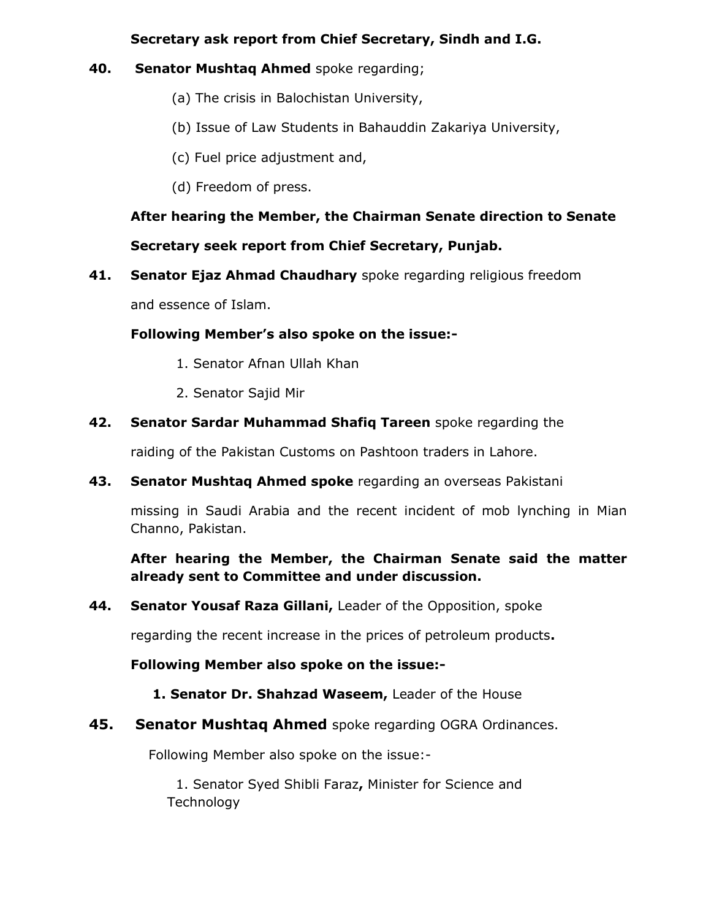#### **Secretary ask report from Chief Secretary, Sindh and I.G.**

#### **40. Senator Mushtaq Ahmed** spoke regarding;

- (a) The crisis in Balochistan University,
- (b) Issue of Law Students in Bahauddin Zakariya University,
- (c) Fuel price adjustment and,
- (d) Freedom of press.

# **After hearing the Member, the Chairman Senate direction to Senate Secretary seek report from Chief Secretary, Punjab.**

**41. Senator Ejaz Ahmad Chaudhary** spoke regarding religious freedom

and essence of Islam.

#### **Following Member's also spoke on the issue:-**

- 1. Senator Afnan Ullah Khan
- 2. Senator Sajid Mir
- **42. Senator Sardar Muhammad Shafiq Tareen** spoke regarding the

raiding of the Pakistan Customs on Pashtoon traders in Lahore.

**43. Senator Mushtaq Ahmed spoke** regarding an overseas Pakistani

missing in Saudi Arabia and the recent incident of mob lynching in Mian Channo, Pakistan.

### **After hearing the Member, the Chairman Senate said the matter already sent to Committee and under discussion.**

**44. Senator Yousaf Raza Gillani,** Leader of the Opposition, spoke

regarding the recent increase in the prices of petroleum products**.**

**Following Member also spoke on the issue:-**

#### **1. Senator Dr. Shahzad Waseem,** Leader of the House

### **45. Senator Mushtaq Ahmed** spoke regarding OGRA Ordinances.

Following Member also spoke on the issue:-

1. Senator Syed Shibli Faraz**,** Minister for Science and **Technology**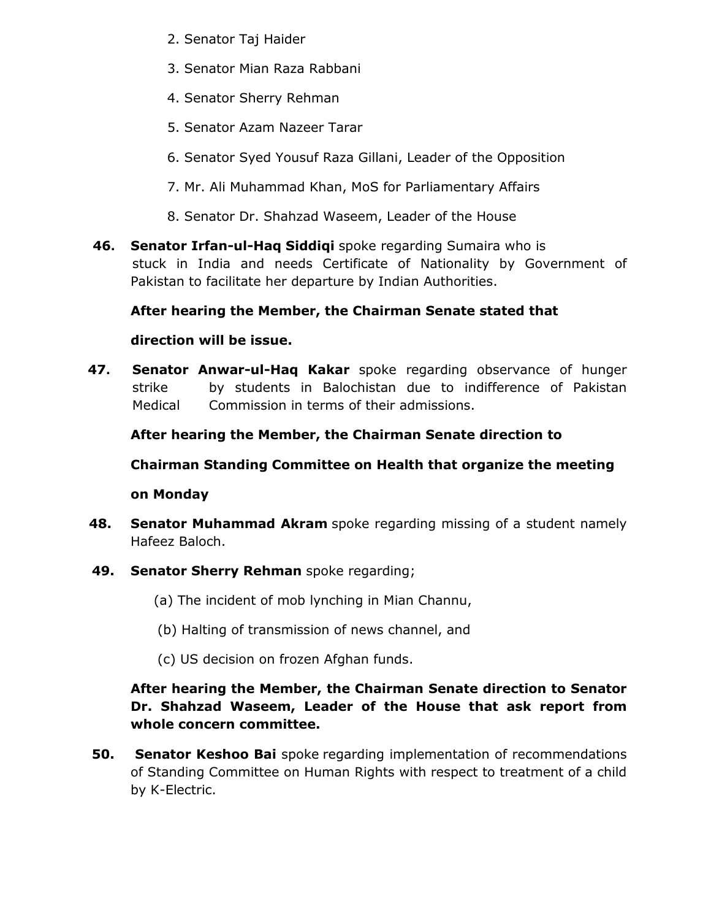- 2. Senator Taj Haider
- 3. Senator Mian Raza Rabbani
- 4. Senator Sherry Rehman
- 5. Senator Azam Nazeer Tarar
- 6. Senator Syed Yousuf Raza Gillani, Leader of the Opposition
- 7. Mr. Ali Muhammad Khan, MoS for Parliamentary Affairs
- 8. Senator Dr. Shahzad Waseem, Leader of the House
- **46. Senator Irfan-ul-Haq Siddiqi** spoke regarding Sumaira who is stuck in India and needs Certificate of Nationality by Government of Pakistan to facilitate her departure by Indian Authorities.

# **After hearing the Member, the Chairman Senate stated that**

# **direction will be issue.**

**47. Senator Anwar-ul-Haq Kakar** spoke regarding observance of hunger strike by students in Balochistan due to indifference of Pakistan Medical Commission in terms of their admissions.

**After hearing the Member, the Chairman Senate direction to** 

**Chairman Standing Committee on Health that organize the meeting** 

# **on Monday**

- **48. Senator Muhammad Akram** spoke regarding missing of a student namely Hafeez Baloch.
- **49. Senator Sherry Rehman** spoke regarding;
	- (a) The incident of mob lynching in Mian Channu,
	- (b) Halting of transmission of news channel, and
	- (c) US decision on frozen Afghan funds.

# **After hearing the Member, the Chairman Senate direction to Senator Dr. Shahzad Waseem, Leader of the House that ask report from whole concern committee.**

**50. Senator Keshoo Bai** spoke regarding implementation of recommendations of Standing Committee on Human Rights with respect to treatment of a child by K-Electric.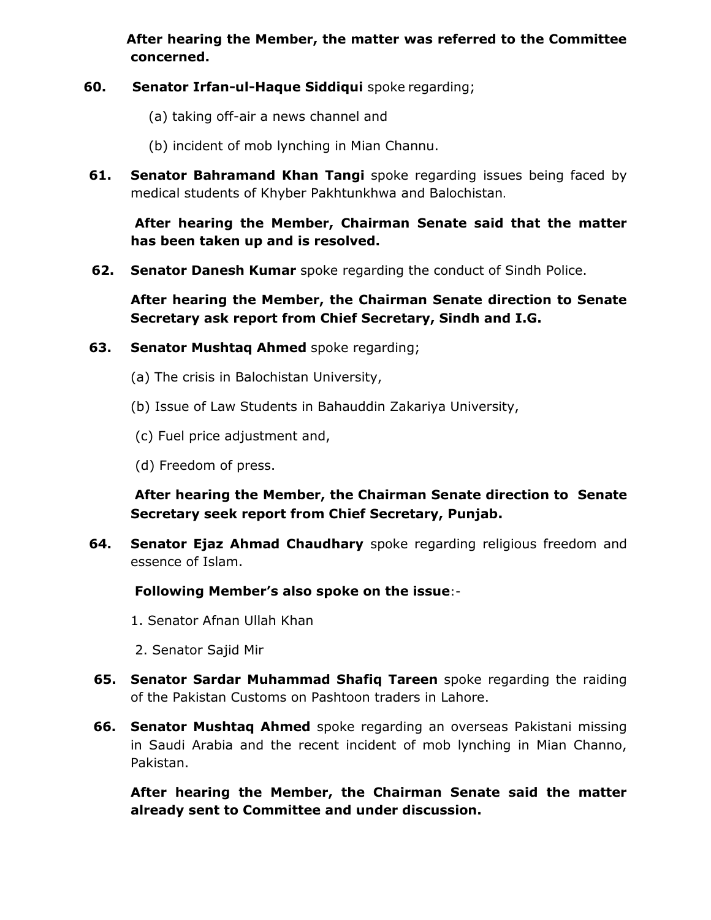**After hearing the Member, the matter was referred to the Committee concerned.** 

- **60. Senator Irfan-ul-Haque Siddiqui** spoke regarding;
	- (a) taking off-air a news channel and
	- (b) incident of mob lynching in Mian Channu.
- **61. Senator Bahramand Khan Tangi** spoke regarding issues being faced by medical students of Khyber Pakhtunkhwa and Balochistan.

**After hearing the Member, Chairman Senate said that the matter has been taken up and is resolved.**

**62. Senator Danesh Kumar** spoke regarding the conduct of Sindh Police.

**After hearing the Member, the Chairman Senate direction to Senate Secretary ask report from Chief Secretary, Sindh and I.G.** 

#### **63. Senator Mushtaq Ahmed** spoke regarding;

- (a) The crisis in Balochistan University,
- (b) Issue of Law Students in Bahauddin Zakariya University,
- (c) Fuel price adjustment and,
- (d) Freedom of press.

**After hearing the Member, the Chairman Senate direction to Senate Secretary seek report from Chief Secretary, Punjab.**

**64. Senator Ejaz Ahmad Chaudhary** spoke regarding religious freedom and essence of Islam.

#### **Following Member's also spoke on the issue**:-

- 1. Senator Afnan Ullah Khan
- 2. Senator Sajid Mir
- **65. Senator Sardar Muhammad Shafiq Tareen** spoke regarding the raiding of the Pakistan Customs on Pashtoon traders in Lahore.
- **66. Senator Mushtaq Ahmed** spoke regarding an overseas Pakistani missing in Saudi Arabia and the recent incident of mob lynching in Mian Channo, Pakistan.

**After hearing the Member, the Chairman Senate said the matter already sent to Committee and under discussion.**